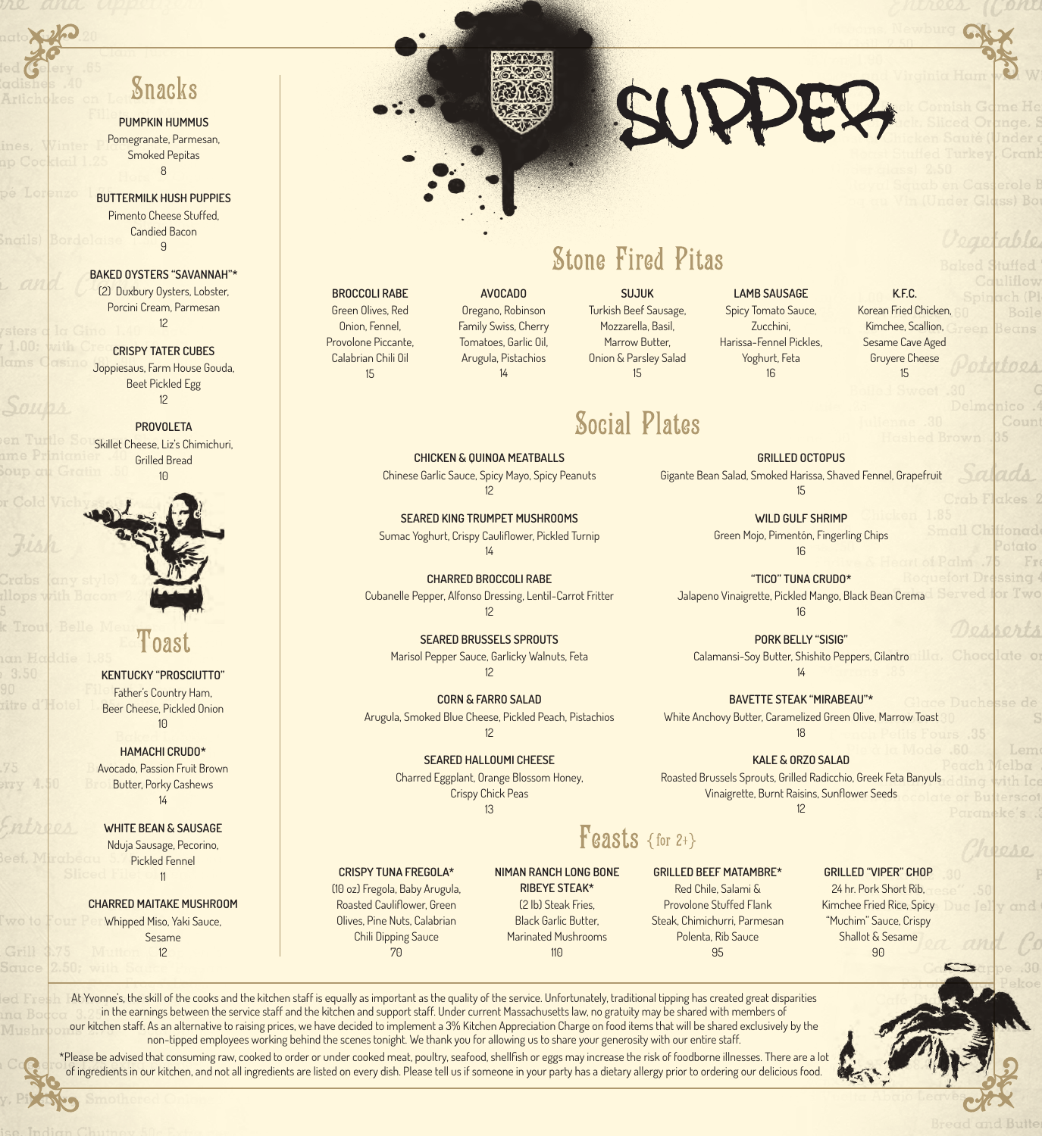### **Snacks**

**PUMPKIN HUMMUS** Pomegranate, Parmesan, Smoked Pepitas 8

**BUTTERMILK HUSH PUPPIES** Pimento Cheese Stuffed, Candied Bacon 9

**BAKED OYSTERS "SAVANNAH"\*** (2) Duxbury Oysters, Lobster, Porcini Cream, Parmesan 12

**CRISPY TATER CUBES**  Joppiesaus, Farm House Gouda, Beet Pickled Egg 12

**PROVOLETA** Skillet Cheese, Liz's Chimichuri, Grilled Bread 10



**KENTUCKY "PROSCIUTTO"** Father's Country Ham, Beer Cheese, Pickled Onion  $1<sup>0</sup>$ 

**HAMACHI CRUDO\*** Avocado, Passion Fruit Brown Butter, Porky Cashews 14

**WHITE BEAN & SAUSAGE** Nduja Sausage, Pecorino, Pickled Fennel 11

#### **CHARRED MAITAKE MUSHROOM**

Whipped Miso, Yaki Sauce, Sesame 12

#### **BROCCOLI RABE** Green Olives, Red Onion, Fennel,

Provolone Piccante, Calabrian Chili Oil 15

Oregano, Robinson Family Swiss, Cherry Tomatoes, Garlic Oil, Arugula, Pistachios 14

**AVOCADO**

**CHICKEN & QUINOA MEATBALLS** Chinese Garlic Sauce, Spicy Mayo, Spicy Peanuts 12 **SEARED KING TRUMPET MUSHROOMS** Sumac Yoghurt, Crispy Cauliflower, Pickled Turnip 14 **CHARRED BROCCOLI RABE** Cubanelle Pepper, Alfonso Dressing, Lentil-Carrot Fritter 12

**SEARED BRUSSELS SPROUTS**  Marisol Pepper Sauce, Garlicky Walnuts, Feta 12

**CORN & FARRO SALAD** Arugula, Smoked Blue Cheese, Pickled Peach, Pistachios 12

> **SEARED HALLOUMI CHEESE** Charred Eggplant, Orange Blossom Honey, Crispy Chick Peas

**SUJUK** Turkish Beef Sausage, Mozzarella, Basil, Marrow Butter, Onion & Parsley Salad

15

**Social Plates** 

**Stone Fired Pitas** 

#### **LAMB SAUSAGE** Spicy Tomato Sauce, Zucchini, Harissa-Fennel Pickles, Yoghurt, Feta 16

SUPPE

**K.F.C.** Korean Fried Chicken, Kimchee, Scallion, Sesame Cave Aged Gruyere Cheese 15

**GRILLED OCTOPUS**  Gigante Bean Salad, Smoked Harissa, Shaved Fennel, Grapefruit 15

> **WILD GULF SHRIMP** Green Mojo, Pimentón, Fingerling Chips 16

**"TICO" TUNA CRUDO\*** Jalapeno Vinaigrette, Pickled Mango, Black Bean Crema 16

**PORK BELLY "SISIG"** Calamansi-Soy Butter, Shishito Peppers, Cilantro  $1/4$ 

**BAVETTE STEAK "MIRABEAU"\*** White Anchovy Butter, Caramelized Green Olive, Marrow Toast

18 **KALE & ORZO SALAD** Roasted Brussels Sprouts, Grilled Radicchio, Greek Feta Banyuls Vinaigrette, Burnt Raisins, Sunflower Seeds

12

### $F$ easts {for 2+}

**CRISPY TUNA FREGOLA\*** (10 oz) Fregola, Baby Arugula, Roasted Cauliflower, Green Olives, Pine Nuts, Calabrian Chili Dipping Sauce 70

**RIBEYE STEAK\*** (2 lb) Steak Fries, Black Garlic Butter, Marinated Mushrooms  $11<sub>0</sub>$ 

**GRILLED BEEF MATAMBRE\*** Red Chile, Salami & Provolone Stuffed Flank Steak, Chimichurri, Parmesan Polenta, Rib Sauce 95

# 24 hr. Pork Short Rib,

Kimchee Fried Rice, Spicy "Muchim" Sauce, Crispy Shallot & Sesame  $90$ 

At Yvonne's, the skill of the cooks and the kitchen staff is equally as important as the quality of the service. Unfortunately, traditional tipping has created great disparities in the earnings between the service staff and the kitchen and support staff. Under current Massachusetts law, no gratuity may be shared with members of our kitchen staff. As an alternative to raising prices, we have decided to implement a 3% Kitchen Appreciation Charge on food items that will be shared exclusively by the non-tipped employees working behind the scenes tonight. We thank you for allowing us to share your generosity with our entire staff.

\*Please be advised that consuming raw, cooked to order or under cooked meat, poultry, seafood, shellfish or eggs may increase the risk of foodborne illnesses. There are a lot of ingredients in our kitchen, and not all ingredients are listed on every dish. Please tell us if someone in your party has a dietary allergy prior to ordering our delicious food.

# **GRILLED "VIPER" CHOP**

13 **NIMAN RANCH LONG BONE**